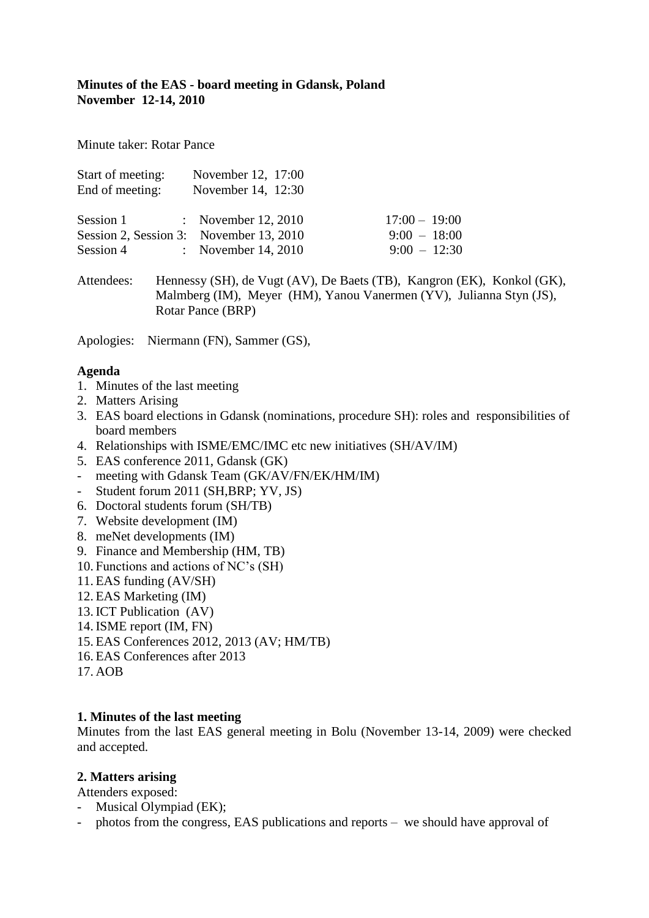## **Minutes of the EAS - board meeting in Gdansk, Poland November 12-14, 2010**

Minute taker: Rotar Pance

| Start of meeting:<br>End of meeting: | November 12, 17:00<br>November 14, 12:30 |                                                                                                                           |
|--------------------------------------|------------------------------------------|---------------------------------------------------------------------------------------------------------------------------|
|                                      | Session 1 : November 12, 2010            | $17:00 - 19:00$                                                                                                           |
|                                      | Session 2, Session 3: November 13, 2010  | $9:00 - 18:00$                                                                                                            |
|                                      | Session 4 : November 14, 2010            | $9:00 - 12:30$                                                                                                            |
| $\Lambda$ ttop doos                  |                                          | $\mu_{\text{annogay}}(SU)$ de $\text{Unot}(AV)$ $\mathbb{D}_{\Omega}$ $\text{D}_{\Omega}$ (TD) $\mathbb{V}_{\Omega}$ (EV) |

Attendees: Hennessy (SH), de Vugt (AV), De Baets (TB), Kangron (EK), Konkol (GK), Malmberg (IM), Meyer (HM), Yanou Vanermen (YV), Julianna Styn (JS), Rotar Pance (BRP)

Apologies: Niermann (FN), Sammer (GS),

### **Agenda**

- 1. Minutes of the last meeting
- 2. Matters Arising
- 3. EAS board elections in Gdansk (nominations, procedure SH): roles and responsibilities of board members
- 4. Relationships with ISME/EMC/IMC etc new initiatives (SH/AV/IM)
- 5. EAS conference 2011, Gdansk (GK)
- meeting with Gdansk Team (GK/AV/FN/EK/HM/IM)
- Student forum 2011 (SH,BRP; YV, JS)
- 6. Doctoral students forum (SH/TB)
- 7. Website development (IM)
- 8. meNet developments (IM)
- 9. Finance and Membership (HM, TB)
- 10. Functions and actions of NC's (SH)
- 11. EAS funding (AV/SH)
- 12. EAS Marketing (IM)
- 13. ICT Publication (AV)
- 14. ISME report (IM, FN)
- 15. EAS Conferences 2012, 2013 (AV; HM/TB)
- 16. EAS Conferences after 2013

17. AOB

### **1. Minutes of the last meeting**

Minutes from the last EAS general meeting in Bolu (November 13-14, 2009) were checked and accepted.

### **2. Matters arising**

Attenders exposed:

- Musical Olympiad (EK);
- photos from the congress, EAS publications and reports we should have approval of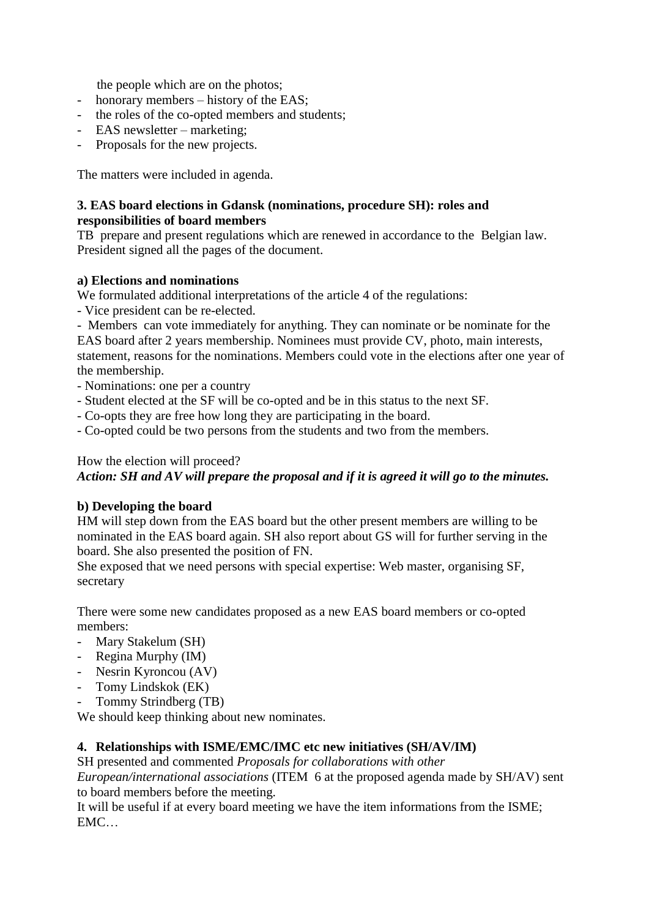the people which are on the photos;

- honorary members history of the EAS;
- the roles of the co-opted members and students;
- EAS newsletter marketing;
- Proposals for the new projects.

The matters were included in agenda.

### **3. EAS board elections in Gdansk (nominations, procedure SH): roles and responsibilities of board members**

TB prepare and present regulations which are renewed in accordance to the Belgian law. President signed all the pages of the document.

#### **a) Elections and nominations**

We formulated additional interpretations of the article 4 of the regulations:

- Vice president can be re-elected.

- Members can vote immediately for anything. They can nominate or be nominate for the EAS board after 2 years membership. Nominees must provide CV, photo, main interests, statement, reasons for the nominations. Members could vote in the elections after one year of the membership.

- Nominations: one per a country
- Student elected at the SF will be co-opted and be in this status to the next SF.
- Co-opts they are free how long they are participating in the board.
- Co-opted could be two persons from the students and two from the members.

#### How the election will proceed?

*Action: SH and AV will prepare the proposal and if it is agreed it will go to the minutes.*

#### **b) Developing the board**

HM will step down from the EAS board but the other present members are willing to be nominated in the EAS board again. SH also report about GS will for further serving in the board. She also presented the position of FN.

She exposed that we need persons with special expertise: Web master, organising SF, secretary

There were some new candidates proposed as a new EAS board members or co-opted members:

- Mary Stakelum (SH)
- Regina Murphy (IM)
- Nesrin Kyroncou (AV)
- Tomy Lindskok (EK)
- Tommy Strindberg (TB)

We should keep thinking about new nominates.

#### **4. Relationships with ISME/EMC/IMC etc new initiatives (SH/AV/IM)**

SH presented and commented *Proposals for collaborations with other European/international associations* (ITEM 6 at the proposed agenda made by SH/AV) sent to board members before the meeting.

It will be useful if at every board meeting we have the item informations from the ISME; EMC…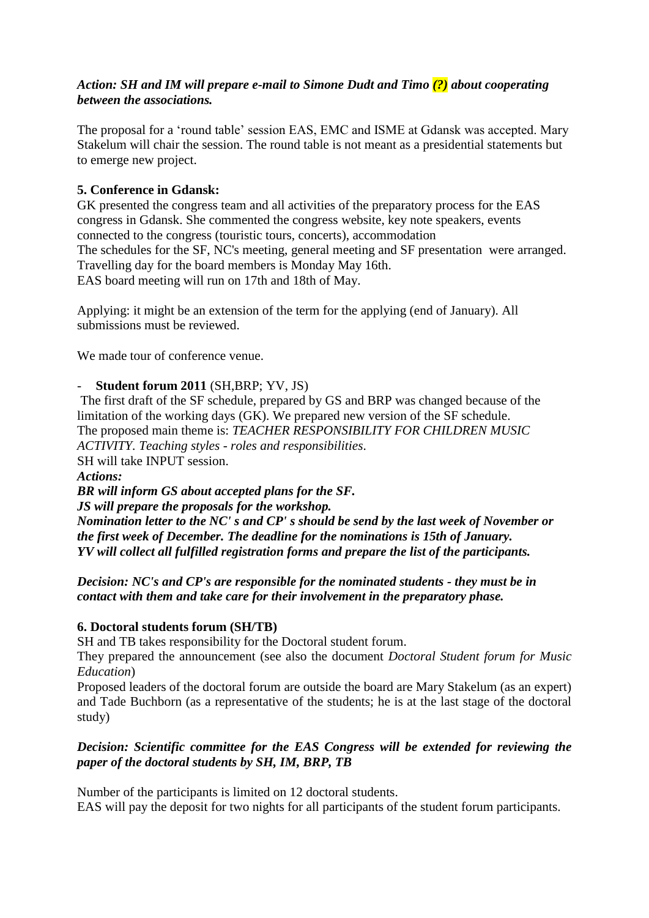## *Action: SH and IM will prepare e-mail to Simone Dudt and Timo (?) about cooperating between the associations.*

The proposal for a 'round table' session EAS, EMC and ISME at Gdansk was accepted. Mary Stakelum will chair the session. The round table is not meant as a presidential statements but to emerge new project.

# **5. Conference in Gdansk:**

GK presented the congress team and all activities of the preparatory process for the EAS congress in Gdansk. She commented the congress website, key note speakers, events connected to the congress (touristic tours, concerts), accommodation The schedules for the SF, NC's meeting, general meeting and SF presentation were arranged. Travelling day for the board members is Monday May 16th. EAS board meeting will run on 17th and 18th of May.

Applying: it might be an extension of the term for the applying (end of January). All submissions must be reviewed.

We made tour of conference venue.

### - **Student forum 2011** (SH,BRP; YV, JS)

The first draft of the SF schedule, prepared by GS and BRP was changed because of the limitation of the working days (GK). We prepared new version of the SF schedule. The proposed main theme is: *TEACHER RESPONSIBILITY FOR CHILDREN MUSIC ACTIVITY. Teaching styles - roles and responsibilities*. SH will take INPUT session.

*Actions:*

*BR will inform GS about accepted plans for the SF.*

*JS will prepare the proposals for the workshop.* 

*Nomination letter to the NC' s and CP' s should be send by the last week of November or the first week of December. The deadline for the nominations is 15th of January. YV will collect all fulfilled registration forms and prepare the list of the participants.*

*Decision: NC's and CP's are responsible for the nominated students - they must be in contact with them and take care for their involvement in the preparatory phase.*

### **6. Doctoral students forum (SH/TB)**

SH and TB takes responsibility for the Doctoral student forum.

They prepared the announcement (see also the document *Doctoral Student forum for Music Education*)

Proposed leaders of the doctoral forum are outside the board are Mary Stakelum (as an expert) and Tade Buchborn (as a representative of the students; he is at the last stage of the doctoral study)

### *Decision: Scientific committee for the EAS Congress will be extended for reviewing the paper of the doctoral students by SH, IM, BRP, TB*

Number of the participants is limited on 12 doctoral students. EAS will pay the deposit for two nights for all participants of the student forum participants.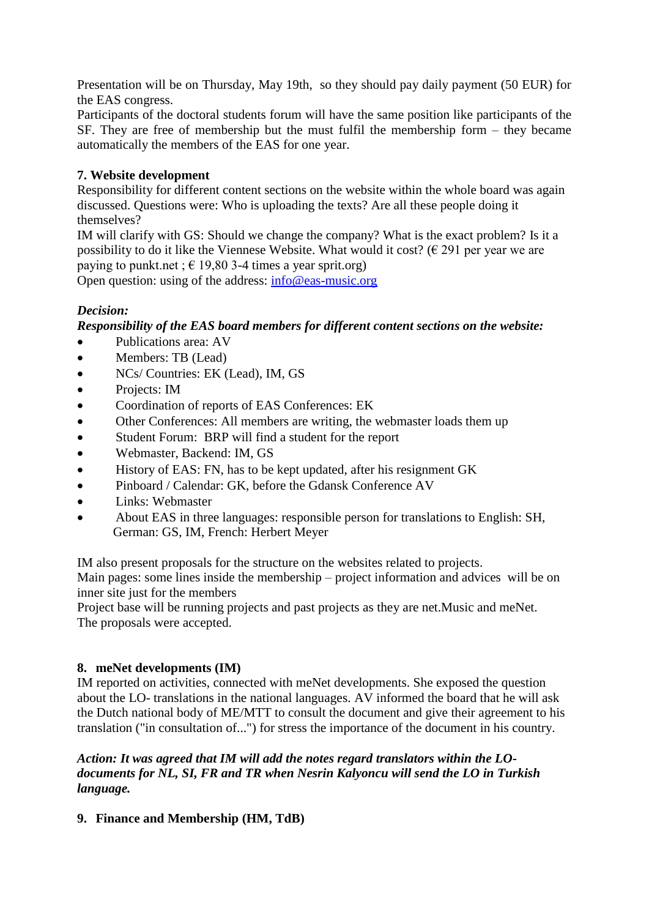Presentation will be on Thursday, May 19th, so they should pay daily payment (50 EUR) for the EAS congress.

Participants of the doctoral students forum will have the same position like participants of the SF. They are free of membership but the must fulfil the membership form – they became automatically the members of the EAS for one year.

# **7. Website development**

Responsibility for different content sections on the website within the whole board was again discussed. Questions were: Who is uploading the texts? Are all these people doing it themselves?

IM will clarify with GS: Should we change the company? What is the exact problem? Is it a possibility to do it like the Viennese Website. What would it cost? ( $\epsilon$  291 per year we are paying to punkt.net ;  $\in$  19,80 3-4 times a year sprit.org)

Open question: using of the address: [info@eas-music.org](mailto:info@eas-music.)

## *Decision:*

*Responsibility of the EAS board members for different content sections on the website:*

- Publications area: AV
- Members: TB (Lead)
- NCs/ Countries: EK (Lead), IM, GS
- Projects: IM
- Coordination of reports of EAS Conferences: EK
- Other Conferences: All members are writing, the webmaster loads them up
- Student Forum: BRP will find a student for the report
- Webmaster, Backend: IM, GS
- History of EAS: FN, has to be kept updated, after his resignment GK
- Pinboard / Calendar: GK, before the Gdansk Conference AV
- Links: Webmaster
- About EAS in three languages: responsible person for translations to English: SH, German: GS, IM, French: Herbert Meyer

IM also present proposals for the structure on the websites related to projects.

Main pages: some lines inside the membership – project information and advices will be on inner site just for the members

Project base will be running projects and past projects as they are net.Music and meNet. The proposals were accepted.

### **8. meNet developments (IM)**

IM reported on activities, connected with meNet developments. She exposed the question about the LO- translations in the national languages. AV informed the board that he will ask the Dutch national body of ME/MTT to consult the document and give their agreement to his translation ("in consultation of...") for stress the importance of the document in his country.

### *Action: It was agreed that IM will add the notes regard translators within the LOdocuments for NL, SI, FR and TR when Nesrin Kalyoncu will send the LO in Turkish language.*

**9. Finance and Membership (HM, TdB)**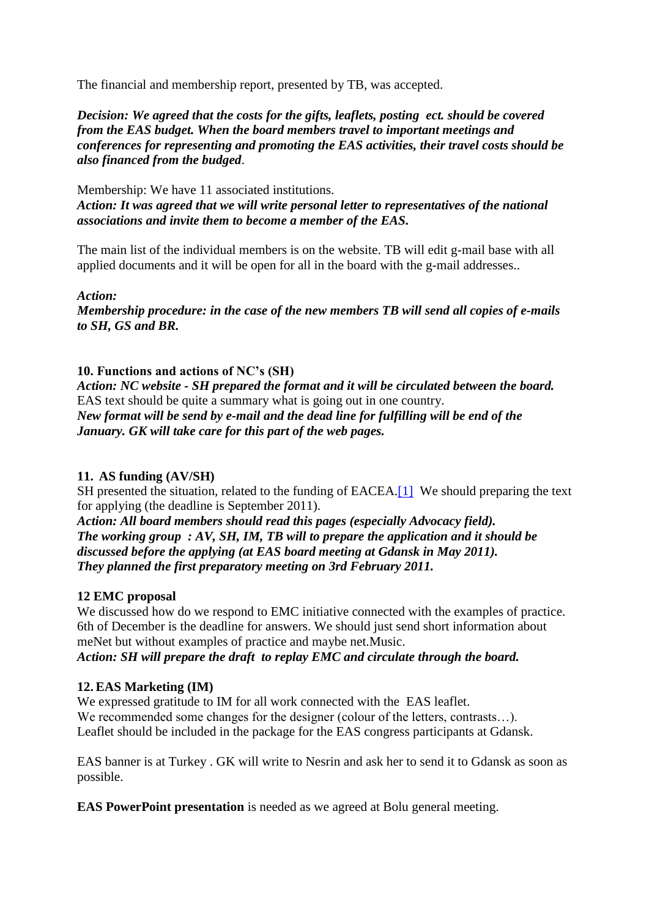The financial and membership report, presented by TB, was accepted.

*Decision: We agreed that the costs for the gifts, leaflets, posting ect. should be covered from the EAS budget. When the board members travel to important meetings and conferences for representing and promoting the EAS activities, their travel costs should be also financed from the budged*.

Membership: We have 11 associated institutions. *Action: It was agreed that we will write personal letter to representatives of the national associations and invite them to become a member of the EAS.* 

The main list of the individual members is on the website. TB will edit g-mail base with all applied documents and it will be open for all in the board with the g-mail addresses..

*Action:*

*Membership procedure: in the case of the new members TB will send all copies of e-mails to SH, GS and BR.*

### **10. Functions and actions of NC's (SH)**

*Action: NC website - SH prepared the format and it will be circulated between the board.* EAS text should be quite a summary what is going out in one country. *New format will be send by e-mail and the dead line for fulfilling will be end of the January. GK will take care for this part of the web pages.*

### **11. AS funding (AV/SH)**

SH presented the situation, related to the funding of EACEA.<sup>[1]</sup> We should preparing the text for applying (the deadline is September 2011).

*Action: All board members should read this pages (especially Advocacy field). The working group : AV, SH, IM, TB will to prepare the application and it should be discussed before the applying (at EAS board meeting at Gdansk in May 2011). They planned the first preparatory meeting on 3rd February 2011.*

### **12 EMC proposal**

We discussed how do we respond to EMC initiative connected with the examples of practice. 6th of December is the deadline for answers. We should just send short information about meNet but without examples of practice and maybe net.Music. *Action: SH will prepare the draft to replay EMC and circulate through the board.*

### **12. EAS Marketing (IM)**

We expressed gratitude to IM for all work connected with the EAS leaflet. We recommended some changes for the designer (colour of the letters, contrasts...). Leaflet should be included in the package for the EAS congress participants at Gdansk.

EAS banner is at Turkey . GK will write to Nesrin and ask her to send it to Gdansk as soon as possible.

**EAS PowerPoint presentation** is needed as we agreed at Bolu general meeting.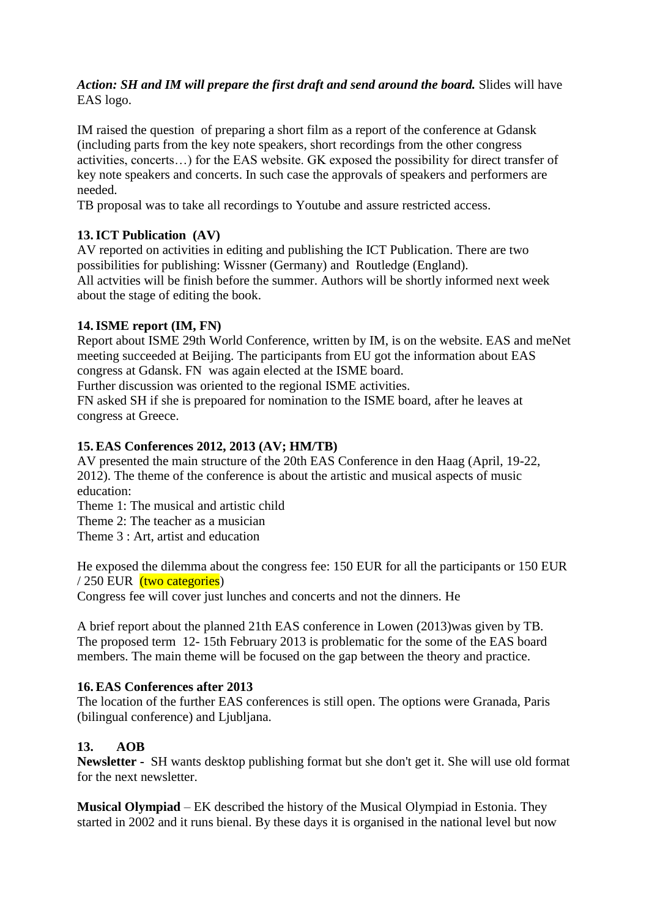### *Action: SH and IM will prepare the first draft and send around the board.* Slides will have EAS logo.

IM raised the question of preparing a short film as a report of the conference at Gdansk (including parts from the key note speakers, short recordings from the other congress activities, concerts…) for the EAS website. GK exposed the possibility for direct transfer of key note speakers and concerts. In such case the approvals of speakers and performers are needed.

TB proposal was to take all recordings to Youtube and assure restricted access.

## **13.ICT Publication (AV)**

AV reported on activities in editing and publishing the ICT Publication. There are two possibilities for publishing: Wissner (Germany) and Routledge (England). All actvities will be finish before the summer. Authors will be shortly informed next week about the stage of editing the book.

### **14.ISME report (IM, FN)**

Report about ISME 29th World Conference, written by IM, is on the website. EAS and meNet meeting succeeded at Beijing. The participants from EU got the information about EAS congress at Gdansk. FN was again elected at the ISME board.

Further discussion was oriented to the regional ISME activities.

FN asked SH if she is prepoared for nomination to the ISME board, after he leaves at congress at Greece.

## **15. EAS Conferences 2012, 2013 (AV; HM/TB)**

AV presented the main structure of the 20th EAS Conference in den Haag (April, 19-22, 2012). The theme of the conference is about the artistic and musical aspects of music education:

Theme 1: The musical and artistic child

Theme 2: The teacher as a musician

Theme 3 : Art, artist and education

He exposed the dilemma about the congress fee: 150 EUR for all the participants or 150 EUR  $/250$  EUR (two categories)

Congress fee will cover just lunches and concerts and not the dinners. He

A brief report about the planned 21th EAS conference in Lowen (2013)was given by TB. The proposed term 12- 15th February 2013 is problematic for the some of the EAS board members. The main theme will be focused on the gap between the theory and practice.

### **16. EAS Conferences after 2013**

The location of the further EAS conferences is still open. The options were Granada, Paris (bilingual conference) and Ljubljana.

# **13. AOB**

**Newsletter -** SH wants desktop publishing format but she don't get it. She will use old format for the next newsletter.

**Musical Olympiad** – EK described the history of the Musical Olympiad in Estonia. They started in 2002 and it runs bienal. By these days it is organised in the national level but now